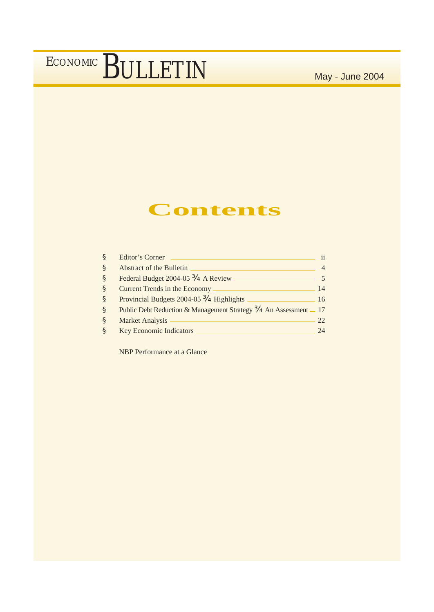### **Contents**

| Ş            | Editor's Corner                                                  | $\mathbf{ii}$ |
|--------------|------------------------------------------------------------------|---------------|
| Ş            | Abstract of the Bulletin                                         |               |
| <sub>S</sub> | Federal Budget 2004-05 - A Review.                               |               |
| ş            | Current Trends in the Economy                                    | 14            |
| <sub>S</sub> | Provincial Budgets 2004-05 - Highlights                          | 16            |
| ş            | Public Debt Reduction & Management Strategy — An Assessment _ 17 |               |
| Ş            | Market Analysis                                                  | 22            |
| Ş            | <b>Key Economic Indicators</b>                                   | 24            |

NBP Performance at a Glance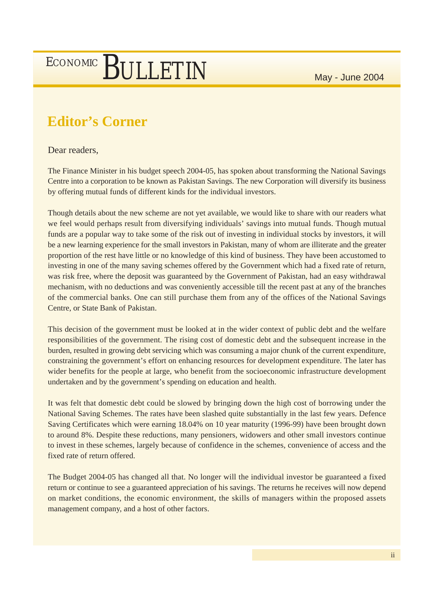### **Editor's Corner**

Dear readers,

The Finance Minister in his budget speech 2004-05, has spoken about transforming the National Savings Centre into a corporation to be known as Pakistan Savings. The new Corporation will diversify its business by offering mutual funds of different kinds for the individual investors.

Though details about the new scheme are not yet available, we would like to share with our readers what we feel would perhaps result from diversifying individuals' savings into mutual funds. Though mutual funds are a popular way to take some of the risk out of investing in individual stocks by investors, it will be a new learning experience for the small investors in Pakistan, many of whom are illiterate and the greater proportion of the rest have little or no knowledge of this kind of business. They have been accustomed to investing in one of the many saving schemes offered by the Government which had a fixed rate of return, was risk free, where the deposit was guaranteed by the Government of Pakistan, had an easy withdrawal mechanism, with no deductions and was conveniently accessible till the recent past at any of the branches of the commercial banks. One can still purchase them from any of the offices of the National Savings Centre, or State Bank of Pakistan.

This decision of the government must be looked at in the wider context of public debt and the welfare responsibilities of the government. The rising cost of domestic debt and the subsequent increase in the burden, resulted in growing debt servicing which was consuming a major chunk of the current expenditure, constraining the government's effort on enhancing resources for development expenditure. The later has wider benefits for the people at large, who benefit from the socioeconomic infrastructure development undertaken and by the government's spending on education and health.

It was felt that domestic debt could be slowed by bringing down the high cost of borrowing under the National Saving Schemes. The rates have been slashed quite substantially in the last few years. Defence Saving Certificates which were earning 18.04% on 10 year maturity (1996-99) have been brought down to around 8%. Despite these reductions, many pensioners, widowers and other small investors continue to invest in these schemes, largely because of confidence in the schemes, convenience of access and the fixed rate of return offered.

The Budget 2004-05 has changed all that. No longer will the individual investor be guaranteed a fixed return or continue to see a guaranteed appreciation of his savings. The returns he receives will now depend on market conditions, the economic environment, the skills of managers within the proposed assets management company, and a host of other factors.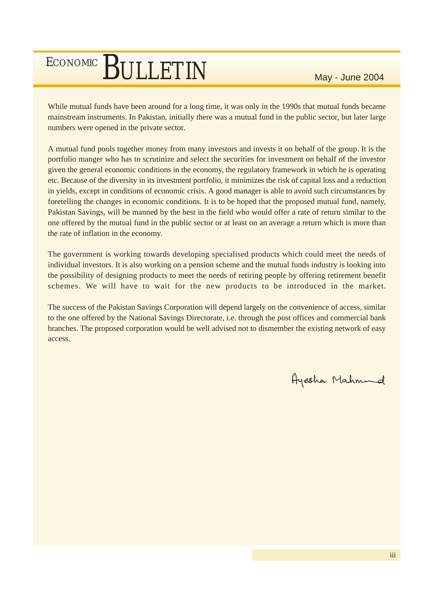While mutual funds have been around for a long time, it was only in the 1990s that mutual funds became mainstream instruments. In Pakistan, initially there was a mutual fund in the public sector, but later large numbers were opened in the private sector.

A mutual fund pools together money from many investors and invests it on behalf of the group. It is the portfolio manger who has to scrutinize and select the securities for investment on behalf of the investor given the general economic conditions in the economy, the regulatory framework in which he is operating etc. Because of the diversity in its investment portfolio, it minimizes the risk of capital loss and a reduction in yields, except in conditions of economic crisis. A good manager is able to avoid such circumstances by foretelling the changes in economic conditions. It is to be hoped that the proposed mutual fund, namely, Pakistan Savings, will be manned by the best in the field who would offer a rate of return similar to the one offered by the mutual fund in the public sector or at least on an average a return which is more than the rate of inflation in the economy.

The government is working towards developing specialised products which could meet the needs of individual investors. It is also working on a pension scheme and the mutual funds industry is looking into the possibility of designing products to meet the needs of retiring people by offering retirement benefit schemes. We will have to wait for the new products to be introduced in the market.

The success of the Pakistan Savings Corporation will depend largely on the convenience of access, similar to the one offered by the National Savings Directorate, i.e. through the post offices and commercial bank branches. The proposed corporation would be well advised not to dismember the existing network of easy access.

Ayesha Mahmund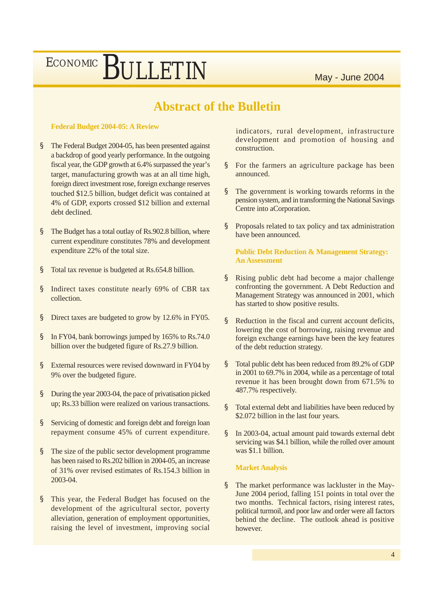### **Abstract of the Bulletin**

#### **Federal Budget 2004-05: A Review**

- § The Federal Budget 2004-05, has been presented against a backdrop of good yearly performance. In the outgoing fiscal year, the GDP growth at 6.4% surpassed the year's target, manufacturing growth was at an all time high, foreign direct investment rose, foreign exchange reserves touched \$12.5 billion, budget deficit was contained at 4% of GDP, exports crossed \$12 billion and external debt declined.
- § The Budget has a total outlay of Rs.902.8 billion, where current expenditure constitutes 78% and development expenditure 22% of the total size.
- § Total tax revenue is budgeted at Rs.654.8 billion.
- § Indirect taxes constitute nearly 69% of CBR tax collection.
- § Direct taxes are budgeted to grow by 12.6% in FY05.
- § In FY04, bank borrowings jumped by 165% to Rs.74.0 billion over the budgeted figure of Rs.27.9 billion.
- § External resources were revised downward in FY04 by 9% over the budgeted figure.
- § During the year 2003-04, the pace of privatisation picked up; Rs.33 billion were realized on various transactions.
- § Servicing of domestic and foreign debt and foreign loan repayment consume 45% of current expenditure.
- § The size of the public sector development programme has been raised to Rs.202 billion in 2004-05, an increase of 31% over revised estimates of Rs.154.3 billion in 2003-04.
- § This year, the Federal Budget has focused on the development of the agricultural sector, poverty alleviation, generation of employment opportunities, raising the level of investment, improving social

indicators, rural development, infrastructure development and promotion of housing and construction.

- § For the farmers an agriculture package has been announced.
- § The government is working towards reforms in the pension system, and in transforming the National Savings Centre into aCorporation.
- § Proposals related to tax policy and tax administration have been announced.

**Public Debt Reduction & Management Strategy: An Assessment**

- § Rising public debt had become a major challenge confronting the government. A Debt Reduction and Management Strategy was announced in 2001, which has started to show positive results.
- § Reduction in the fiscal and current account deficits, lowering the cost of borrowing, raising revenue and foreign exchange earnings have been the key features of the debt reduction strategy.
- § Total public debt has been reduced from 89.2% of GDP in 2001 to 69.7% in 2004, while as a percentage of total revenue it has been brought down from 671.5% to 487.7% respectively.
- § Total external debt and liabilities have been reduced by \$2.072 billion in the last four years.
- § In 2003-04, actual amount paid towards external debt servicing was \$4.1 billion, while the rolled over amount was \$1.1 billion.

#### **Market Analysis**

§ The market performance was lackluster in the May-June 2004 period, falling 151 points in total over the two months. Technical factors, rising interest rates, political turmoil, and poor law and order were all factors behind the decline. The outlook ahead is positive however.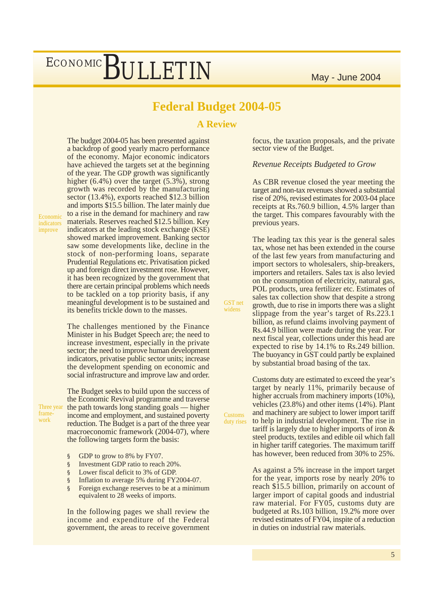### **Federal Budget 2004-05**

**A Review**

GST net widens

The budget 2004-05 has been presented against a backdrop of good yearly macro performance of the economy. Major economic indicators have achieved the targets set at the beginning of the year. The GDP growth was significantly higher (6.4%) over the target (5.3%), strong growth was recorded by the manufacturing sector (13.4%), exports reached \$12.3 billion and imports \$15.5 billion. The later mainly due to a rise in the demand for machinery and raw materials. Reserves reached \$12.5 billion. Key indicators at the leading stock exchange (KSE) showed marked improvement. Banking sector saw some developments like, decline in the stock of non-performing loans, separate Prudential Regulations etc. Privatisation picked up and foreign direct investment rose. However, it has been recognized by the government that there are certain principal problems which needs to be tackled on a top priority basis, if any meaningful development is to be sustained and its benefits trickle down to the masses.

The challenges mentioned by the Finance Minister in his Budget Speech are; the need to increase investment, especially in the private sector; the need to improve human development indicators, privatise public sector units; increase the development spending on economic and social infrastructure and improve law and order.

Three year frame work

Economic indicators improve

> The Budget seeks to build upon the success of the Economic Revival programme and traverse the path towards long standing goals –– higher income and employment, and sustained poverty reduction. The Budget is a part of the three year macroeconomic framework (2004-07), where the following targets form the basis:

- § GDP to grow to 8% by FY07.
- § Investment GDP ratio to reach 20%.
- § Lower fiscal deficit to 3% of GDP.
- § Inflation to average 5% during FY2004-07.
- § Foreign exchange reserves to be at a minimum equivalent to 28 weeks of imports.

In the following pages we shall review the income and expenditure of the Federal government, the areas to receive government focus, the taxation proposals, and the private sector view of the Budget.

#### *Revenue Receipts Budgeted to Grow*

As CBR revenue closed the year meeting the target and non-tax revenues showed a substantial rise of 20%, revised estimates for 2003-04 place receipts at Rs.760.9 billion, 4.5% larger than the target. This compares favourably with the previous years.

The leading tax this year is the general sales tax, whose net has been extended in the course of the last few years from manufacturing and import sectors to wholesalers, ship-breakers, importers and retailers. Sales tax is also levied on the consumption of electricity, natural gas, POL products, urea fertilizer etc. Estimates of sales tax collection show that despite a strong growth, due to rise in imports there was a slight slippage from the year's target of Rs.223.1 billion, as refund claims involving payment of Rs.44.9 billion were made during the year. For next fiscal year, collections under this head are expected to rise by 14.1% to Rs.249 billion. The buoyancy in GST could partly be explained by substantial broad basing of the tax.

Customs duty are estimated to exceed the year's target by nearly 11%, primarily because of higher accruals from machinery imports  $(10\%),$ vehicles (23.8%) and other items (14%). Plant and machinery are subject to lower import tariff to help in industrial development. The rise in tariff is largely due to higher imports of iron & steel products, textiles and edible oil which fall in higher tariff categories. The maximum tariff has however, been reduced from 30% to 25%. Customs duty rises

> As against a 5% increase in the import target for the year, imports rose by nearly 20% to reach \$15.5 billion, primarily on account of larger import of capital goods and industrial raw material. For FY05, customs duty are budgeted at Rs.103 billion, 19.2% more over revised estimates of FY04, inspite of a reduction in duties on industrial raw materials.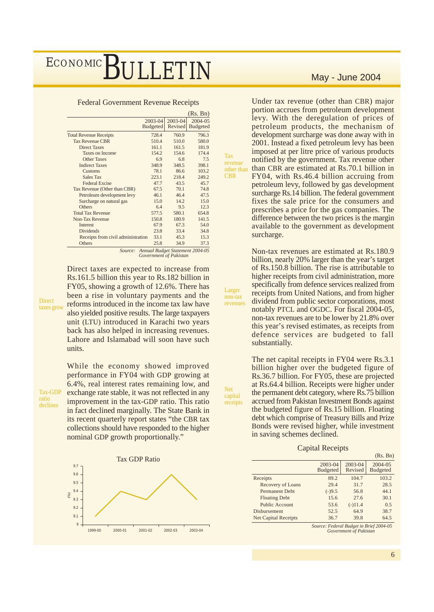Federal Government Revenue Receipts

|                                    |                            |                        | (Rs. Bn)                                |
|------------------------------------|----------------------------|------------------------|-----------------------------------------|
|                                    | 2003-04<br><b>Budgeted</b> | $2003 - 04$<br>Revised | 2004-05<br><b>Budgeted</b>              |
| <b>Total Revenue Receipts</b>      | 728.4                      | 760.9                  | 796.3                                   |
| <b>Tax Revenue CBR</b>             | 510.4                      | 510.0                  | 580.0                                   |
| <b>Direct Taxes</b>                | 161.1                      | 161.5                  | 181.9                                   |
| <b>Taxes on Income</b>             | 154.2                      | 154.6                  | 174.4                                   |
| <b>Other Taxes</b>                 | 6.9                        | 6.8                    | 7.5                                     |
| <b>Indirect Taxes</b>              | 348.9                      | 348.5                  | 398.1                                   |
| Customs                            | 78.1                       | 86.6                   | 103.2                                   |
| <b>Sales Tax</b>                   | 223.1                      | 218.4                  | 249.2                                   |
| <b>Federal Excise</b>              | 47.7                       | 43.5                   | 45.7                                    |
| Tax Revenue (Other than CBR)       | 67.5                       | 70.1                   | 74.8                                    |
| Petroleum development levy         | 46.1                       | 46.4                   | 47.5                                    |
| Surcharge on natural gas           | 15.0                       | 14.2                   | 15.0                                    |
| Others                             | 6.4                        | 9.5                    | 12.3                                    |
| <b>Total Tax Revenue</b>           | 577.5                      | 580.1                  | 654.8                                   |
| Non-Tax Revenue                    | 150.8                      | 180.9                  | 141.5                                   |
| Interest                           | 67.9                       | 67.3                   | 54.0                                    |
| Dividends                          | 23.8                       | 33.4                   | 34.8                                    |
| Receipts from civil administration | 33.1                       | 45.3                   | 15.3                                    |
| Others                             | 25.8                       | 34.9                   | 37.3<br>$\lambda$ I D. I.  C.   2004 OF |

*Source: Annual Budget Statement 2004-05 Government of Pakistan*

Tax revenue **CBR** 

Larger non-tax revenues

Net capital receipts

**Direct** taxes grow Rs.161.5 billion this year to Rs.182 billion in FY05, showing a growth of 12.6%. There has been a rise in voluntary payments and the reforms introduced in the income tax law have also yielded positive results. The large taxpayers unit (LTU) introduced in Karachi two years back has also helped in increasing revenues. Lahore and Islamabad will soon have such units.

Direct taxes are expected to increase from

Tax-GDP ratio declines

While the economy showed improved performance in FY04 with GDP growing at 6.4%, real interest rates remaining low, and exchange rate stable, it was not reflected in any improvement in the tax-GDP ratio. This ratio in fact declined marginally. The State Bank in its recent quarterly report states "the CBR tax collections should have responded to the higher nominal GDP growth proportionally."



Under tax revenue (other than CBR) major portion accrues from petroleum development levy. With the deregulation of prices of petroleum products, the mechanism of development surcharge was done away with in 2001. Instead a fixed petroleum levy has been imposed at per litre price of various products notified by the government. Tax revenue other other than than CBR are estimated at Rs.70.1 billion in FY04, with Rs.46.4 billion accruing from petroleum levy, followed by gas development surcharge Rs.14 billion. The federal government fixes the sale price for the consumers and prescribes a price for the gas companies. The difference between the two prices is the margin available to the government as development surcharge.

> Non-tax revenues are estimated at Rs.180.9 billion, nearly 20% larger than the year's target of Rs.150.8 billion. The rise is attributable to higher receipts from civil administration, more specifically from defence services realized from receipts from United Nations, and from higher dividend from public sector corporations, most notably PTCL and OGDC. For fiscal 2004-05, non-tax revenues are to be lower by 21.8% over this year's revised estimates, as receipts from defence services are budgeted to fall substantially.

The net capital receipts in FY04 were Rs.3.1 billion higher over the budgeted figure of Rs.36.7 billion. For FY05, these are projected at Rs.64.4 billion. Receipts were higher under the permanent debt category, where Rs.75 billion accrued from Pakistan Investment Bonds against the budgeted figure of Rs.15 billion. Floating debt which comprise of Treasury Bills and Prize Bonds were revised higher, while investment in saving schemes declined.

#### Capital Receipts

|                             |                            |                    | (Rs. Bn)                   |
|-----------------------------|----------------------------|--------------------|----------------------------|
|                             | 2003-04<br><b>Budgeted</b> | 2003-04<br>Revised | 2004-05<br><b>Budgeted</b> |
| Receipts                    | 89.2                       | 104.7              | 103.2                      |
| Recovery of Loans           | 29.4                       | 31.7               | 28.5                       |
| <b>Permanent Debt</b>       | $(-)9.5$                   | 56.8               | 44.1                       |
| <b>Floating Debt</b>        | 15.6                       | 27.6               | 30.1                       |
| Public Account              | 53.6                       | $(-)11.4$          | 0.5                        |
| Disbursement                | 52.5                       | 64.9               | 38.7                       |
| <b>Net Capital Receipts</b> | 36.7                       | 39.8               | 64.5                       |

*Source: Federal Budget in Brief 2004-05 Government of Pakistan*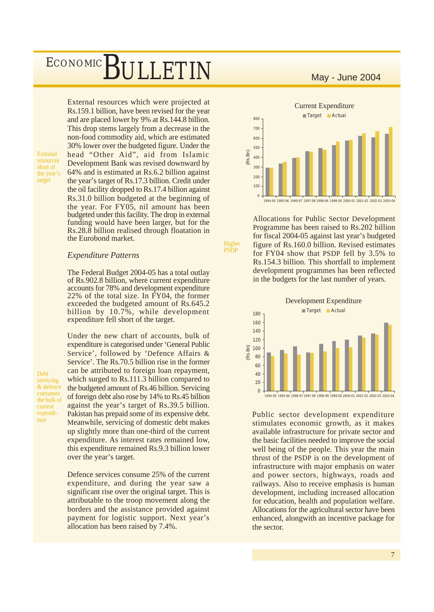### ${\large\bf SULLETIN}$  May - June 2004 ECONOMIC

External resources short of the year's target

External resources which were projected at Rs.159.1 billion, have been revised for the year and are placed lower by 9% at Rs.144.8 billion. This drop stems largely from a decrease in the non-food commodity aid, which are estimated 30% lower over the budgeted figure. Under the head "Other Aid", aid from Islamic Development Bank was revised downward by 64% and is estimated at Rs.6.2 billion against the year's target of Rs.17.3 billion. Credit under the oil facility dropped to Rs.17.4 billion against Rs.31.0 billion budgeted at the beginning of the year. For FY05, nil amount has been budgeted under this facility. The drop in external funding would have been larger, but for the Rs.28.8 billion realised through floatation in the Eurobond market.

#### *Expenditure Patterns*

The Federal Budget 2004-05 has a total outlay of Rs.902.8 billion, where current expenditure accounts for 78% and development expenditure 22% of the total size. In FY04, the former exceeded the budgeted amount of Rs.645.2 billion by 10.7%, while development expenditure fell short of the target.

Under the new chart of accounts, bulk of expenditure is categorised under 'General Public Service', followed by 'Defence Affairs & Service'. The Rs.70.5 billion rise in the former can be attributed to foreign loan repayment, which surged to Rs.111.3 billion compared to the budgeted amount of Rs.46 billion. Servicing of foreign debt also rose by 14% to Rs.45 billion against the year's target of Rs.39.5 billion. Pakistan has prepaid some of its expensive debt. Meanwhile, servicing of domestic debt makes up slightly more than one-third of the current expenditure. As interest rates remained low, this expenditure remained Rs.9.3 billion lower over the year's target.

Defence services consume 25% of the current expenditure, and during the year saw a significant rise over the original target. This is attributable to the troop movement along the borders and the assistance provided against payment for logistic support. Next year's allocation has been raised by 7.4%.



Allocations for Public Sector Development Programme has been raised to Rs.202 billion for fiscal 2004-05 against last year's budgeted figure of Rs.160.0 billion. Revised estimates for FY04 show that PSDP fell by 3.5% to Rs.154.3 billion. This shortfall to implement development programmes has been reflected in the budgets for the last number of years.

Higher PSDP



Public sector development expenditure stimulates economic growth, as it makes available infrastructure for private sector and the basic facilities needed to improve the social well being of the people. This year the main thrust of the PSDP is on the development of infrastructure with major emphasis on water and power sectors, highways, roads and railways. Also to receive emphasis is human development, including increased allocation for education, health and population welfare. Allocations for the agricultural sector have been enhanced, alongwith an incentive package for the sector.

7

Debt servicing & defence consumes the bulk of current expenditure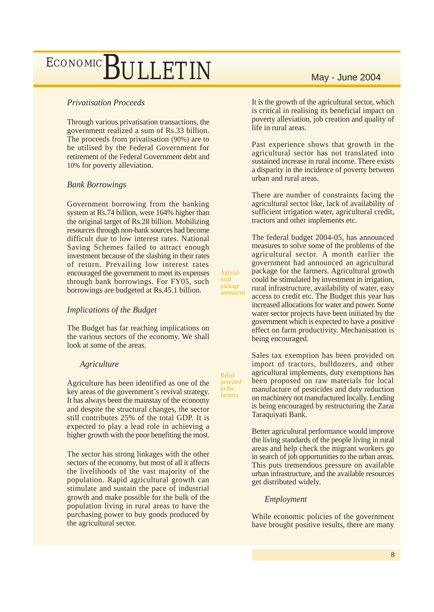### *Privatisation Proceeds*

Through various privatisation transactions, the government realized a sum of Rs.33 billion. The proceeds from privatisation (90%) are to be utilised by the Federal Government for retirement of the Federal Government debt and 10% for poverty alleviation.

### *Bank Borrowings*

Government borrowing from the banking system at Rs.74 billion, were 164% higher than the original target of Rs.28 billion. Mobilizing resources through non-bank sources had become difficult due to low interest rates. National Saving Schemes failed to attract enough investment because of the slashing in their rates of return. Prevailing low interest rates encouraged the government to meet its expenses through bank borrowings. For FY05, such borrowings are budgeted at Rs.45.1 billion.

Agricultural package announced

Relief provided to the farmers

### *Implications of the Budget*

The Budget has far reaching implications on the various sectors of the economy. We shall look at some of the areas.

### *Agriculture*

Agriculture has been identified as one of the key areas of the government's revival strategy. It has always been the mainstay of the economy and despite the structural changes, the sector still contributes 25% of the total GDP. It is expected to play a lead role in achieving a higher growth with the poor benefiting the most.

The sector has strong linkages with the other sectors of the economy, but most of all it affects the livelihoods of the vast majority of the population. Rapid agricultural growth can stimulate and sustain the pace of industrial growth and make possible for the bulk of the population living in rural areas to have the purchasing power to buy goods produced by the agricultural sector.

It is the growth of the agricultural sector, which is critical in realising its beneficial impact on poverty alleviation, job creation and quality of life in rural areas.

Past experience shows that growth in the agricultural sector has not translated into sustained increase in rural income. There exists a disparity in the incidence of poverty between urban and rural areas.

There are number of constraints facing the agricultural sector like, lack of availability of sufficient irrigation water, agricultural credit, tractors and other implements etc.

The federal budget 2004-05, has announced measures to solve some of the problems of the agricultural sector. A month earlier the government had announced an agricultural package for the farmers. Agricultural growth could be stimulated by investment in irrigation, rural infrastructure, availability of water, easy access to credit etc. The Budget this year has increased allocations for water and power. Some water sector projects have been initiated by the government which is expected to have a positive effect on farm productivity. Mechanisation is being encouraged.

Sales tax exemption has been provided on import of tractors, bulldozers, and other agricultural implements, duty exemptions has been proposed on raw materials for local manufacture of pesticides and duty reduction on machinery not manufactured locally. Lending is being encouraged by restructuring the Zarai Taraquiyati Bank.

Better agricultural performance would improve the living standards of the people living in rural areas and help check the migrant workers go in search of job opportunities to the urban areas. This puts tremendous pressure on available urban infrastructure, and the available resources get distributed widely.

### *Employment*

While economic policies of the government have brought positive results, there are many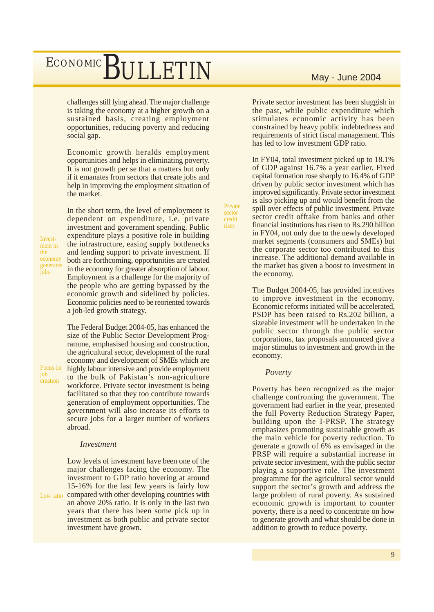challenges still lying ahead. The major challenge is taking the economy at a higher growth on a sustained basis, creating employment opportunities, reducing poverty and reducing social gap.

Economic growth heralds employment opportunities and helps in eliminating poverty. It is not growth per se that a matters but only if it emanates from sectors that create jobs and help in improving the employment situation of the market.

Investment in the economy generates  $i_{\rm obs}$ 

Focus on job creation

In the short term, the level of employment is dependent on expenditure, i.e. private investment and government spending. Public expenditure plays a positive role in building the infrastructure, easing supply bottlenecks and lending support to private investment. If both are forthcoming, opportunities are created in the economy for greater absorption of labour. Employment is a challenge for the majority of the people who are getting bypassed by the economic growth and sidelined by policies. Economic policies need to be reoriented towards a job-led growth strategy.

The Federal Budget 2004-05, has enhanced the size of the Public Sector Development Programme, emphasised housing and construction, the agricultural sector, development of the rural economy and development of SMEs which are highly labour intensive and provide employment to the bulk of Pakistan's non-agriculture workforce. Private sector investment is being facilitated so that they too contribute towards generation of employment opportunities. The government will also increase its efforts to secure jobs for a larger number of workers abroad.

#### *Investment*

Low levels of investment have been one of the major challenges facing the economy. The investment to GDP ratio hovering at around 15-16% for the last few years is fairly low Low ratio compared with other developing countries with an above 20% ratio. It is only in the last two years that there has been some pick up in investment as both public and private sector investment have grown.

Private sector investment has been sluggish in the past, while public expenditure which stimulates economic activity has been constrained by heavy public indebtedness and requirements of strict fiscal management. This has led to low investment GDP ratio.

In FY04, total investment picked up to 18.1% of GDP against 16.7% a year earlier. Fixed capital formation rose sharply to 16.4% of GDP driven by public sector investment which has improved significantly. Private sector investment is also picking up and would benefit from the spill over effects of public investment. Private sector credit offtake from banks and other financial institutions has risen to Rs.290 billion in FY04, not only due to the newly developed market segments (consumers and SMEs) but the corporate sector too contributed to this increase. The additional demand available in the market has given a boost to investment in the economy.

The Budget 2004-05, has provided incentives to improve investment in the economy. Economic reforms initiated will be accelerated, PSDP has been raised to Rs.202 billion, a sizeable investment will be undertaken in the public sector through the public sector corporations, tax proposals announced give a major stimulus to investment and growth in the economy.

#### *Poverty*

Private sector credit rises

> Poverty has been recognized as the major challenge confronting the government. The government had earlier in the year, presented the full Poverty Reduction Strategy Paper, building upon the I-PRSP. The strategy emphasizes promoting sustainable growth as the main vehicle for poverty reduction. To generate a growth of 6% as envisaged in the PRSP will require a substantial increase in private sector investment, with the public sector playing a supportive role. The investment programme for the agricultural sector would support the sector's growth and address the large problem of rural poverty. As sustained economic growth is important to counter poverty, there is a need to concentrate on how to generate growth and what should be done in addition to growth to reduce poverty.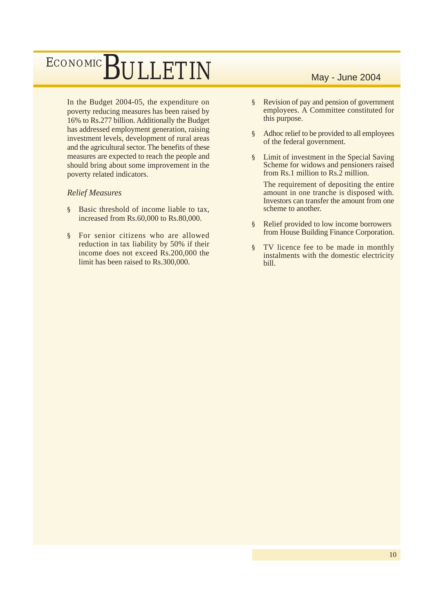In the Budget 2004-05, the expenditure on poverty reducing measures has been raised by 16% to Rs.277 billion. Additionally the Budget has addressed employment generation, raising investment levels, development of rural areas and the agricultural sector. The benefits of these measures are expected to reach the people and should bring about some improvement in the poverty related indicators.

### *Relief Measures*

- § Basic threshold of income liable to tax, increased from Rs.60,000 to Rs.80,000.
- § For senior citizens who are allowed reduction in tax liability by 50% if their income does not exceed Rs.200,000 the limit has been raised to Rs.300,000.

- § Revision of pay and pension of government employees. A Committee constituted for this purpose.
- § Adhoc relief to be provided to all employees of the federal government.
- § Limit of investment in the Special Saving Scheme for widows and pensioners raised from Rs.1 million to Rs.2 million.

The requirement of depositing the entire amount in one tranche is disposed with. Investors can transfer the amount from one scheme to another.

- § Relief provided to low income borrowers from House Building Finance Corporation.
- § TV licence fee to be made in monthly instalments with the domestic electricity bill.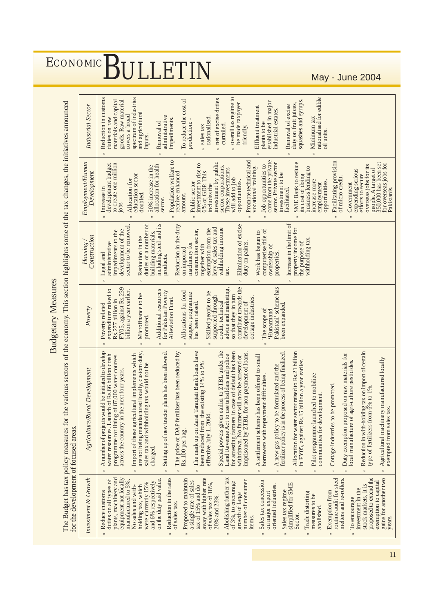**Budgetary Measures** 

|                                                                                                                                                                                                                                                                                                                                                                                                                                                                                                                                                                                                                                                                                                                                                                                                                                                                                                                                                                                                                                                               |                                                                                                                                                                                                                                                                                                                                                                                                                                                                                                                                                                                                                                                                                                                                                                                                                                                                                                                                                                                                                                                                                                                                                                                                                                                                                                                                                                                                                                                                                                                                                                                                                                                                                                 | <b>Budgetary Measures</b>                                                                                                                                                                                                                                                                                                                                                                                                                                                                                                                                                                                                         |                                                                                                                                                                                                                                                                                                                                                                                                                                                                                                                                                                                                                                                                              |                                                                                                                                                                                                                                                                                                                                                                                                                                                                                                                                                                                                                                                                                                                                                                                                                                                                                                                                                                                                        |                                                                                                                                                                                                                                                                                                                                                                                                                                                                                                                                                                                                                                                                                   |
|---------------------------------------------------------------------------------------------------------------------------------------------------------------------------------------------------------------------------------------------------------------------------------------------------------------------------------------------------------------------------------------------------------------------------------------------------------------------------------------------------------------------------------------------------------------------------------------------------------------------------------------------------------------------------------------------------------------------------------------------------------------------------------------------------------------------------------------------------------------------------------------------------------------------------------------------------------------------------------------------------------------------------------------------------------------|-------------------------------------------------------------------------------------------------------------------------------------------------------------------------------------------------------------------------------------------------------------------------------------------------------------------------------------------------------------------------------------------------------------------------------------------------------------------------------------------------------------------------------------------------------------------------------------------------------------------------------------------------------------------------------------------------------------------------------------------------------------------------------------------------------------------------------------------------------------------------------------------------------------------------------------------------------------------------------------------------------------------------------------------------------------------------------------------------------------------------------------------------------------------------------------------------------------------------------------------------------------------------------------------------------------------------------------------------------------------------------------------------------------------------------------------------------------------------------------------------------------------------------------------------------------------------------------------------------------------------------------------------------------------------------------------------|-----------------------------------------------------------------------------------------------------------------------------------------------------------------------------------------------------------------------------------------------------------------------------------------------------------------------------------------------------------------------------------------------------------------------------------------------------------------------------------------------------------------------------------------------------------------------------------------------------------------------------------|------------------------------------------------------------------------------------------------------------------------------------------------------------------------------------------------------------------------------------------------------------------------------------------------------------------------------------------------------------------------------------------------------------------------------------------------------------------------------------------------------------------------------------------------------------------------------------------------------------------------------------------------------------------------------|--------------------------------------------------------------------------------------------------------------------------------------------------------------------------------------------------------------------------------------------------------------------------------------------------------------------------------------------------------------------------------------------------------------------------------------------------------------------------------------------------------------------------------------------------------------------------------------------------------------------------------------------------------------------------------------------------------------------------------------------------------------------------------------------------------------------------------------------------------------------------------------------------------------------------------------------------------------------------------------------------------|-----------------------------------------------------------------------------------------------------------------------------------------------------------------------------------------------------------------------------------------------------------------------------------------------------------------------------------------------------------------------------------------------------------------------------------------------------------------------------------------------------------------------------------------------------------------------------------------------------------------------------------------------------------------------------------|
| The Budget has tax policy measures for<br>for the development of focused areas.                                                                                                                                                                                                                                                                                                                                                                                                                                                                                                                                                                                                                                                                                                                                                                                                                                                                                                                                                                               | the various sectors of the economy. This section highlights some of the tax changes, the initiatives announced                                                                                                                                                                                                                                                                                                                                                                                                                                                                                                                                                                                                                                                                                                                                                                                                                                                                                                                                                                                                                                                                                                                                                                                                                                                                                                                                                                                                                                                                                                                                                                                  |                                                                                                                                                                                                                                                                                                                                                                                                                                                                                                                                                                                                                                   |                                                                                                                                                                                                                                                                                                                                                                                                                                                                                                                                                                                                                                                                              |                                                                                                                                                                                                                                                                                                                                                                                                                                                                                                                                                                                                                                                                                                                                                                                                                                                                                                                                                                                                        |                                                                                                                                                                                                                                                                                                                                                                                                                                                                                                                                                                                                                                                                                   |
| Investment & Growth                                                                                                                                                                                                                                                                                                                                                                                                                                                                                                                                                                                                                                                                                                                                                                                                                                                                                                                                                                                                                                           | Agriculture/Rural Development                                                                                                                                                                                                                                                                                                                                                                                                                                                                                                                                                                                                                                                                                                                                                                                                                                                                                                                                                                                                                                                                                                                                                                                                                                                                                                                                                                                                                                                                                                                                                                                                                                                                   | Poverty                                                                                                                                                                                                                                                                                                                                                                                                                                                                                                                                                                                                                           | Construction<br>Housing/                                                                                                                                                                                                                                                                                                                                                                                                                                                                                                                                                                                                                                                     | Employment/Human<br>Development                                                                                                                                                                                                                                                                                                                                                                                                                                                                                                                                                                                                                                                                                                                                                                                                                                                                                                                                                                        | Industrial Sector                                                                                                                                                                                                                                                                                                                                                                                                                                                                                                                                                                                                                                                                 |
| routine audit for steel<br>gains for another two<br>Reduction in the rates<br>Abolishing further tax<br>proposed to extend the<br>plants, machinery and<br>equipment not locally<br>away with higher rate<br>on the duty paid value.<br>Proposed to maintain<br>melters and re-rollers.<br>duties on all types of<br>Sales tax concession<br>a single rate of sales<br>number of consumer<br>manufactured to 5%.<br>exemption to capital<br>and 6% respectively<br>of 3%, to encourage<br>of sales tax of 18%,<br>were currently 15%<br>simplified for SME<br>oriented industries.<br>stock markets, it is<br>No sales and with-<br>holding tax, which<br>tax of 15% and do<br>investment in the<br>Sales tax regime<br><b>Exemption</b> from<br>Reduce customs<br>Trade distorting<br>on major export<br>growth of large<br>measures to be<br>20% and 23%.<br>To encourage<br>of sales tax.<br>abolished.<br>Sector.<br>items.<br>years.<br>$\overline{a}$<br>$\mathbf{r}$<br>$\overline{a}$<br>$\Xi$<br>$\approx$<br>$\simeq$<br>$\mathbf{r}$<br>$\epsilon$ | A number of projects would be initiated to develop<br>are not being manufactured locally, custom duty,<br>Reduction in with-holding tax on import of certain<br>type of fertilizers from 6% to 1%.<br>The mark up on Zarai Taraqiati Bank loans have<br>Special powers given earlier to ZTBL under the<br>for arresting farmers in case of default has been<br>withdrawn. No farmer will now be arrested or<br>Allocation for water sector raised to Rs.21 billion<br>Setting up of new tractor plants has been allowed.<br>A new gas policy to be formulated and the finalized.<br>The price of DAP fertilizer has been reduced by<br>imprisoned by ZTBL for non payment of loans<br>n Duty exemption proposed on raw materials for<br>use tehsildars and police<br>Import of those agricultural implements which<br>water resources. Launch of Rs.66 billion crash<br>programme for lining of 87,000 water courses<br>A settlement scheme has been offered to small<br>Agricultural machinery manufactured locally<br>5 billion a year earlier.<br>agri-culture pesticides.<br>sales tax and withholding tax would not be<br>been reduced from the existing 14% to 9%<br>across the country in the next four years.<br>Pilot programme launched to mobilize<br>borrowers with repayment difficulties<br>be promoted.<br>communities for development.<br>exempted from sales tax.<br>effective July 1, 2004<br>Land Revenue Act to<br>Cottage industries to<br>local manufacture of<br>in FY05, against Rs.<br>Rs.100 per bag.<br>charged.<br>$\overline{a}$<br>$\Xi$<br>$\Xi$<br>$\overline{a}$<br>$\square$<br>$\overline{a}$<br>$\Xi$<br>$\Xi$<br>$\Xi$<br>$\Xi$<br>$\Xi$<br>$\Xi$<br>$\Xi$ | contribute towards the<br>Pakistani' scheme has<br>FY05, against Rs.239<br>advice and marketing,<br>expenditure raised to<br>billion a year earlier.<br>Additional resources<br>for Pakistan Poverty<br>Allocations for food<br>Skilled people to be<br>supported through<br>support programme<br>Microfinance to be<br>so that they in turn<br>cottage industries.<br>Alleviation Fund.<br>Rs.277 billion in<br>development of<br>has been raised.<br>credit, technical<br>Poverty related<br>been expanded<br>The scope of<br>Hunarmand<br>promoted.<br>$\mathrel{\mathop{\mathsf{c}}\nolimits}$<br>$\square$<br>$\Xi$<br>$\Xi$ | Increase in the limit of<br>including steel and its<br>duties of a number of<br>Reduction in the duty<br>Elimination of excise<br>sector to be removed.<br>levy of sales tax and<br>property income for<br>exemption from the<br>withholding income<br>computerise title of<br>development of the<br>construction sector,<br>impediments to the<br>Work has begun to<br>building materials,<br>Reduction in the<br>withholding tax.<br>the purpose of<br>administrative<br>duty on paints.<br>machinery for<br>together with<br>ownership of<br>on imported<br>properties.<br>Legal and<br>products.<br>tax.<br>$\Xi$<br>$\overline{a}$<br>$\Xi$<br>$\epsilon$<br>$\epsilon$ | Population welfare to<br>Promote technical and<br>come from the private<br>Facilitating provision<br>sector. Private sector<br>investment by public<br><b>SME Bank to reduce</b><br>people. A target of<br>350,000 has been set<br>to create one million<br>for overseas jobs for<br>investment to rise to<br>development budget<br>50% increase in the<br>allocation for health<br>Job opportunities to<br>overseas jobs for its<br>sector corporations.<br>vocational training.<br>$\overline{c}$<br>These investments<br>expending serious<br>receive enhanced<br>6% of GDP. This<br>business lending<br>investment to be<br>education sector<br>its cost of doing<br>efforts to secure<br>of micro credit.<br>will add to job<br>Allocation for<br>increase more<br>opportunities.<br>opportunities.<br>Public sector<br>employment<br>Government<br>includes the<br>Increase in<br>Pakistanis.<br>facilitated.<br>doubled.<br>amount.<br>sector.<br>jobs<br>$\epsilon$<br>$\square$<br>$\epsilon$ | overall tax regime to<br>rationalised for edible<br>Reduction in customs<br>spectrum of industries<br>n net of excise duties<br>To reduce the cost of<br>materials and capital<br>goods. Raw material<br>squashes and syrups<br>established in major<br>be made taxpayer<br>duty on fruit juices,<br>Removal of excise<br><b>Effluent</b> treatment<br>industrial estates.<br>and agricultural<br>covers a broad<br>administrative<br>duties on raw<br>rationalised<br>Minimum tax<br>impediments.<br>production: -<br>Removal of<br>plants to be<br>curtailed.<br>sales tax<br>friendly.<br>oil units<br>inputs.<br>$\overline{a}$<br>$\overline{a}$<br>$\overline{\phantom{a}}$ |

# $\frac{\text{ECONOMIC}}{\text{May - June 2004}}$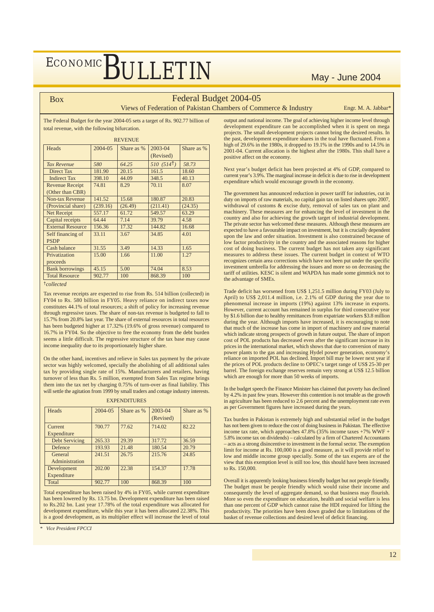#### Box

### Federal Budget 2004-05

Views of Federation of Pakistan Chambers of Commerce & Industry Engr. M. A. Jabbar<sup>\*</sup>

The Federal Budget for the year 2004-05 sets a target of Rs. 902.77 billion of total revenue, with the following bifurcation.

| <b>REVENUE</b>           |          |            |           |            |  |  |
|--------------------------|----------|------------|-----------|------------|--|--|
| Heads                    | 2004-05  | Share as % | 2003-04   | Share as % |  |  |
|                          |          |            | (Revised) |            |  |  |
| <b>Tax Revenue</b>       | 580      | 64.25      | 510(514)  | 58.73      |  |  |
| <b>Direct Tax</b>        | 181.90   | 20.15      | 161.5     | 18.60      |  |  |
| <b>Indirect Tax</b>      | 398.10   | 44.09      | 348.5     | 40.13      |  |  |
| <b>Revenue Receipt</b>   | 74.81    | 8.29       | 70.11     | 8.07       |  |  |
| (Other than CBR)         |          |            |           |            |  |  |
| <b>Non-tax Revenue</b>   | 141.52   | 15.68      | 180.87    | 20.83      |  |  |
| (Provincial share)       | (239.16) | (26.49)    | (211.41)  | (24.35)    |  |  |
| Net Receipt              | 557.17   | 61.72      | 549.57    | 63.29      |  |  |
| Capital receipts         | 64.44    | 7.14       | 39.79     | 4.58       |  |  |
| <b>External Resource</b> | 156.36   | 17.32      | 144.82    | 16.68      |  |  |
| Self financing of        | 33.11    | 3.67       | 34.85     | 4.01       |  |  |
| <b>PSDP</b>              |          |            |           |            |  |  |
| Cash balance             | 31.55    | 3.49       | 14.33     | 1.65       |  |  |
| Privatization            | 15.00    | 1.66       | 11.00     | 1.27       |  |  |
| proceeds                 |          |            |           |            |  |  |
| <b>Bank borrowings</b>   | 45.15    | 5.00       | 74.04     | 8.53       |  |  |
| <b>Total Resource</b>    | 902.77   | 100        | 868.39    | 100        |  |  |

<sup>†</sup>*collected*

Tax revenue receipts are expected to rise from Rs. 514 billion (collected) in FY04 to Rs. 580 billion in FY05. Heavy reliance on indirect taxes now constitutes 44.1% of total resources; a shift of policy for increasing revenue through regressive taxes. The share of non-tax revenue is budgeted to fall to 15.7% from 20.8% last year. The share of external resources in total resources has been budgeted higher at 17.32% (19.6% of gross revenue) compared to 16.7% in FY04. So the objective to free the economy from the debt burden seems a little difficult. The regressive structure of the tax base may cause income inequality due to its proportionately higher share.

On the other hand, incentives and relieve in Sales tax payment by the private sector was highly welcomed, specially the abolishing of all additional sales tax by providing single rate of 15%. Manufacturers and retailers, having turnover of less than Rs. 5 million, exempted from Sales Tax regime brings them into the tax net by charging 0.75% of turn-over as final liability. This will settle the agitation from 1999 by small traders and cottage industry interests.

EXPENDITURES

| 1723 173 312 1 1 37 33 47 |         |            |                      |            |  |  |  |  |
|---------------------------|---------|------------|----------------------|------------|--|--|--|--|
| Heads                     | 2004-05 | Share as % | 2003-04<br>(Revised) | Share as % |  |  |  |  |
| Current                   | 700.77  | 77.62      | 714.02               | 82.22      |  |  |  |  |
| Expenditure               |         |            |                      |            |  |  |  |  |
| <b>Debt Servicing</b>     | 265.33  | 29.39      | 317.72               | 36.59      |  |  |  |  |
| Defence                   | 193.93  | 21.48      | 180.54               | 20.79      |  |  |  |  |
| General                   | 241.51  | 26.75      | 215.76               | 24.85      |  |  |  |  |
| Administration            |         |            |                      |            |  |  |  |  |
| Development               | 202.00  | 22.38      | 154.37               | 17.78      |  |  |  |  |
| Expenditure               |         |            |                      |            |  |  |  |  |
| Total                     | 902.77  | 100        | 868.39               | 100        |  |  |  |  |

Total expenditure has been raised by 4% in FY05, while current expenditure has been lowered by Rs. 13.75 bn. Development expenditure has been raised to Rs.202 bn. Last year 17.78% of the total expenditure was allocated for development expenditure, while this year it has been allocated 22.38%. This is a good development, as its multiplier effect will increase the level of total

*\* Vice President FPCCI*

output and national income. The goal of achieving higher income level through development expenditure can be accomplished when it is spent on mega projects. The small development projects cannot bring the desired results. In the past, development expenditure shares in the toal have fluctuated. From a high of 29.6% in the 1980s, it dropped to 19.1% in the 1990s and to 14.5% in 2001-04. Current allocation is the highest after the 1980s. This shall have a positive affect on the economy.

Next year's budget deficit has been projected at 4% of GDP, compared to current year's 3.9%. The marginal increase in deficit is due to rise in development expenditure which would encourage growth in the economy.

The government has announced reduction in power tariff for industries, cut in duty on imports of raw materials, no capital gain tax on listed shares upto 2007, withdrawal of customs & excise duty, removal of sales tax on plant and machinery. These measures are for enhancing the level of investment in the country and also for achieving the growth target of industrial development. The private sector has welcomed these measures. Although these measures are expected to have a favourable impact on investment, but it is crucially dependent upon the law and order situation. Investment is also constrained because of low factor productivity in the country and the associated reasons for higher cost of doing business. The current budget has not taken any significant measures to address these issues. The current budget in context of WTO recognizes certain area corrections which have not been put under the specific investment umbrella for addressing the issues and more so on decreasing the tariff of utilities. KESC is silent and WAPDA has made some gimmick not to the advantage of SMEs.

Trade deficit has worsened from US\$ 1,251.5 million during FY03 (July to April) to US\$ 2,011.4 million, i.e. 2.1% of GDP during the year due to phenomenal increase in imports (19%) against 13% increase in exports. However, current account has remained in surplus for third consecutive year by \$1.6 billion due to healthy remittances from expatriate workers \$3.8 million during the year. Although imports have increased, it is encouraging to note that much of the increase has come in import of machinery and raw material which indicate strong prospects of growth in future output. The share of import cost of POL products has decreased even after the significant increase in its prices in the international market, which shows that due to conversion of many power plants to the gas and increasing Hydel power generation, economy' reliance on imported POL has declined. Import bill may be lower next year if the prices of POL products decline to OPEC's target range of US\$ 25-30 per barrel. The foreign exchange reserves remain very strong at US\$ 12.5 billion which are enough for more than 50 weeks of imports.

In the budget speech the Finance Minister has claimed that poverty has declined by 4.2% in past few years. However this contention is not tenable as the growth in agriculture has been reduced to 2.6 percent and the unemployment rate even as per Government figures have increased during the years.

Tax burden in Pakistan is extremely high and substantial relief in the budget has not been given to reduce the cost of doing business in Pakistan. The effective income tax rate, which approaches 47.8% (35% income taxes +7% WWF + 5.8% income tax on dividends) – calculated by a firm of Chartered Accountants – acts as a strong disincentive to investment in the formal sector. The exemption limit for income at Rs. 100,000 is a good measure, as it will provide relief to low and middle income group specially. Some of the tax experts are of the view that this exemption level is still too low, this should have been increased to Rs. 150,000.

Overall it is apparently looking business friendly budget but not people friendly. The budget must be people friendly which would raise their income and consequently the level of aggregate demand, so that business may flourish. More so even the expenditure on education, health and social welfare is less than one percent of GDP which cannot raise the HDI required for lifting the productivity. The priorities have been down graded due to limitations of the basket of revenue collections and desired level of deficit financing.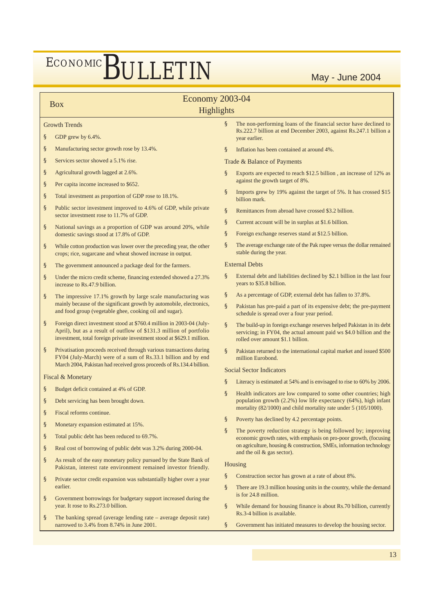### Box **Economy 2003-04**

#### **Highlights**

#### Growth Trends

- § GDP grew by 6.4%.
- § Manufacturing sector growth rose by 13.4%.
- § Services sector showed a 5.1% rise.
- § Agricultural growth lagged at 2.6%.
- § Per capita income increased to \$652.
- § Total investment as proportion of GDP rose to 18.1%.
- § Public sector investment improved to 4.6% of GDP, while private sector investment rose to 11.7% of GDP.
- § National savings as a proportion of GDP was around 20%, while domestic savings stood at 17.8% of GDP.
- § While cotton production was lower over the preceding year, the other crops; rice, sugarcane and wheat showed increase in output.
- § The government announced a package deal for the farmers.
- § Under the micro credit scheme, financing extended showed a 27.3% increase to Rs.47.9 billion.
- § The impressive 17.1% growth by large scale manufacturing was mainly because of the significant growth by automobile, electronics, and food group (vegetable ghee, cooking oil and sugar).
- § Foreign direct investment stood at \$760.4 million in 2003-04 (July-April), but as a result of outflow of \$131.3 million of portfolio investment, total foreign private investment stood at \$629.1 million.
- § Privatisation proceeds received through various transactions during FY04 (July-March) were of a sum of Rs.33.1 billion and by end March 2004, Pakistan had received gross proceeds of Rs.134.4 billion.

#### Fiscal & Monetary

- § Budget deficit contained at 4% of GDP.
- § Debt servicing has been brought down.
- § Fiscal reforms continue.
- § Monetary expansion estimated at 15%.
- § Total public debt has been reduced to 69.7%.
- § Real cost of borrowing of public debt was 3.2% during 2000-04.
- § As result of the easy monetary policy pursued by the State Bank of Pakistan, interest rate environment remained investor friendly.
- § Private sector credit expansion was substantially higher over a year earlier.
- § Government borrowings for budgetary support increased during the year. It rose to Rs.273.0 billion.
- § The banking spread (average lending rate average deposit rate) narrowed to 3.4% from 8.74% in June 2001.
- § The non-performing loans of the financial sector have declined to Rs.222.7 billion at end December 2003, against Rs.247.1 billion a year earlier.
- § Inflation has been contained at around 4%.

Trade & Balance of Payments

- § Exports are expected to reach \$12.5 billion , an increase of 12% as against the growth target of 8%.
- Imports grew by 19% against the target of 5%. It has crossed \$15 billion mark.
- § Remittances from abroad have crossed \$3.2 billion.
- § Current account will be in surplus at \$1.6 billion.
- § Foreign exchange reserves stand at \$12.5 billion.
- § The average exchange rate of the Pak rupee versus the dollar remained stable during the year.

#### External Debts

- § External debt and liabilities declined by \$2.1 billion in the last four years to \$35.8 billion.
- § As a percentage of GDP, external debt has fallen to 37.8%.
- Pakistan has pre-paid a part of its expensive debt; the pre-payment schedule is spread over a four year period.
- § The build-up in foreign exchange reserves helped Pakistan in its debt servicing; in FY04, the actual amount paid ws \$4.0 billion and the rolled over amount \$1.1 billion.
- § Pakistan returned to the international capital market and issued \$500 million Eurobond.

#### Social Sector Indicators

- § Literacy is estimated at 54% and is envisaged to rise to 60% by 2006.
- § Health indicators are low compared to some other countries; high population growth (2.2%) low life expectancy (64%), high infant mortality (82/1000) and child mortality rate under 5 (105/1000).
- § Poverty has declined by 4.2 percentage points.
- § The poverty reduction strategy is being followed by; improving economic growth rates, with emphasis on pro-poor growth, (focusing on agriculture, housing & construction, SMEs, information technology and the oil & gas sector).

#### Housing

- § Construction sector has grown at a rate of about 8%.
- § There are 19.3 million housing units in the country, while the demand is for 24.8 million.
- § While demand for housing finance is about Rs.70 billion, currently Rs.3-4 billion is available.
- § Government has initiated measures to develop the housing sector.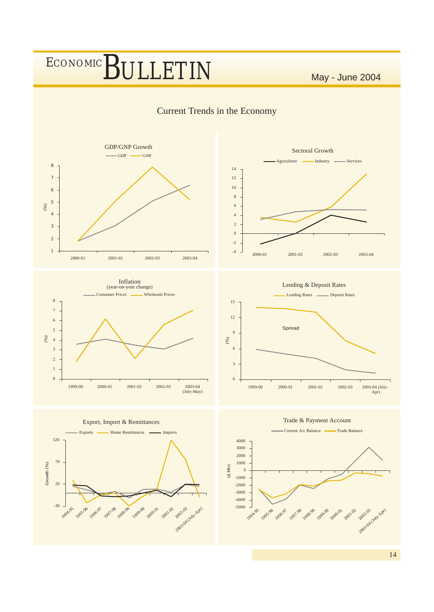

14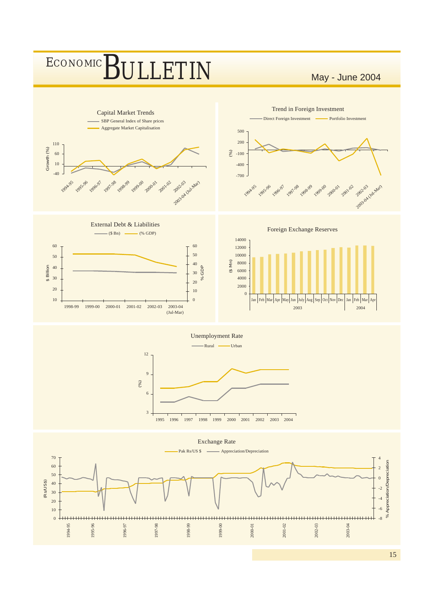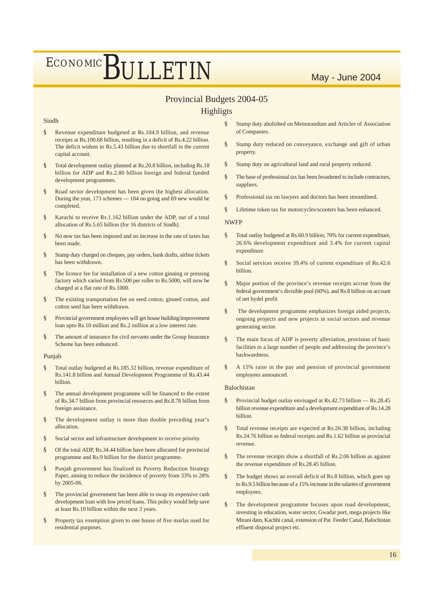### Provincial Budgets 2004-05

### Highligts

#### Sindh

- § Revenue expenditure budgeted at Rs.104.9 billion, and revenue receipts at Rs.100.68 billion, resulting in a deficit of Rs.4.22 billion. The deficit widens to Rs.5.43 billion due to shortfall in the current capital account.
- § Total development outlay planned at Rs.20.8 billion, including Rs.18 billion for ADP and Rs.2.80 billion foreign and federal funded development programmes.
- § Road sector development has been given the highest allocation. During the year, 173 schemes — 104 on going and 69 new would be completed.
- § Karachi to receive Rs.1.162 billion under the ADP, out of a total allocation of Rs.5.65 billion (for 16 districts of Sindh).
- § No new tax has been imposed and no increase in the rate of taxes has been made.
- § Stamp duty charged on cheques, pay orders, bank drafts, airline tickets has been withdrawn.
- § The licence fee for installation of a new cotton ginning or pressing factory which varied from Rs.500 per roller to Rs.5000, will now be charged at a flat rate of Rs.1000.
- § The existing transportation fee on seed cotton, ginned cotton, and cotton seed has been withdrawn.
- § Provincial government employees will get house building/improvement loan upto Rs.10 million and Rs.2 million at a low interest rate.
- § The amount of insurance for civil servants under the Group Insurance Scheme has been enhanced.

#### Punjab

- § Total outlay budgeted at Rs.185.32 billion, revenue expenditure of Rs.141.8 billion and Annual Development Programme of Rs.43.44 billion.
- § The annual development programme will be financed to the extent of Rs.34.7 billion from provincial resources and Rs.8.78 billion from foreign assistance.
- § The development outlay is more than double preceding year's allocation.
- § Social sector and infrastructure development to receive priority.
- § Of the total ADP, Rs.34.44 billion have been allocated for provincial programme and Rs.9 billion for the district programme.
- § Punjab government has finalized its Poverty Reduction Strategy Paper, aiming to reduce the incidence of poverty from 33% to 28% by 2005-06.
- § The provincial government has been able to swap its expensive cash development loan with low priced loans. This policy would help save at least Rs.10 billion within the next 3 years.
- § Property tax exemption given to one house of five marlas used for residential purposes.
- § Stamp duty abolished on Memorandum and Articles of Association of Companies.
- § Stamp duty reduced on conveyance, exchange and gift of urban property.
- § Stamp duty on agricultural land and rural property reduced.
- § The base of professional tax has been broadened to include contractors, suppliers.
- § Professional tax on lawyers and doctors has been streamlined.
- § Lifetime token tax for motorcycles/scooters has been enhanced.

#### **NWFP**

- § Total outlay budgeted at Rs.60.9 billion; 70% for current expenditure, 26.6% development expenditure and 3.4% for current capital expenditure.
- § Social services receive 39.4% of current expenditure of Rs.42.6 billion.
- § Major portion of the province's revenue receipts accrue from the federal government's divisible pool (60%), and Rs.8 billion on account of net hydel profit
- § The development programme emphasizes foreign aided projects, ongoing projects and new projects in social sectors and revenue generating sector.
- The main focus of ADP is poverty alleviation, provision of basic facilities to a large number of people and addressing the province's backwardness.
- § A 15% raise in the pay and pension of provincial government employees announced.

#### Balochistan

- § Provincial budget outlay envisaged at Rs.42.73 billion Rs.28.45 billion revenue expenditure and a development expenditure of Rs.14.28 billion.
- § Total revenue receipts are expected at Rs.26.38 billion, including Rs.24.76 billion as federal receipts and Rs.1.62 billion as provincial revenue.
- § The revenue receipts show a shortfall of Rs.2.06 billion as against the revenue expenditure of Rs.28.45 billion.
- The budget shows an overall deficit of Rs.8 billion, which goes up to Rs.9.5 billion because of a 15% increase in the salaries of government employees.
- § The development programme focuses upon road development, investing in education, water sector, Gwadar port, mega projects like Mirani dam, Kachhi canal, extension of Pat Feeder Canal, Balochistan effluent disposal project etc.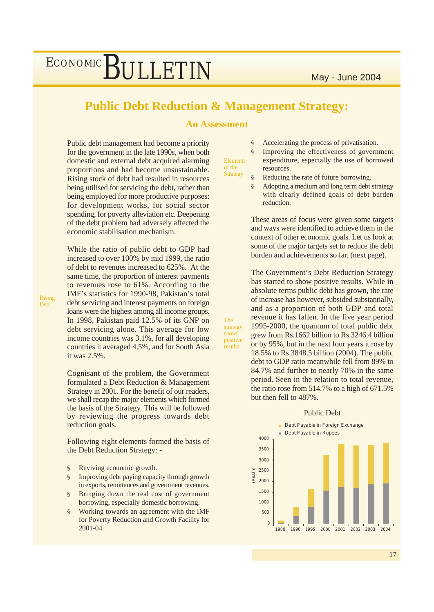### **Public Debt Reduction & Management Strategy:**

**An Assessment**

Public debt management had become a priority for the government in the late 1990s, when both domestic and external debt acquired alarming proportions and had become unsustainable. Rising stock of debt had resulted in resources being utilised for servicing the debt, rather than being employed for more productive purposes: for development works, for social sector spending, for poverty alleviation etc. Deepening of the debt problem had adversely affected the economic stabilisation mechanism.

While the ratio of public debt to GDP had increased to over 100% by mid 1999, the ratio of debt to revenues increased to 625%. At the same time, the proportion of interest payments to revenues rose to 61%. According to the IMF's statistics for 1990-98, Pakistan's total debt servicing and interest payments on foreign loans were the highest among all income groups. In 1998, Pakistan paid 12.5% of its GNP on debt servicing alone. This average for low income countries was 3.1%, for all developing countries it averaged 4.5%, and for South Asia it was 2.5%.

Rising Debt

> Cognisant of the problem, the Government formulated a Debt Reduction & Management Strategy in 2001. For the benefit of our readers, we shall recap the major elements which formed the basis of the Strategy. This will be followed by reviewing the progress towards debt reduction goals.

> Following eight elements formed the basis of the Debt Reduction Strategy: -

- § Reviving economic growth.
- § Improving debt paying capacity through growth in exports, remittances and government revenues.
- § Bringing down the real cost of government borrowing, especially domestic borrowing.
- § Working towards an agreement with the IMF for Poverty Reduction and Growth Facility for 2001-04.

§ Accelerating the process of privatisation.

Elements of the **Strategy** 

The strategy shows positive <u>results</u>

- § Improving the effectiveness of government expenditure, especially the use of borrowed resources.
- § Reducing the rate of future borrowing.
- § Adopting a medium and long term debt strategy with clearly defined goals of debt burden reduction.

These areas of focus were given some targets and ways were identified to achieve them in the context of other economic goals. Let us look at some of the major targets set to reduce the debt burden and achievements so far. (next page).

The Government's Debt Reduction Strategy has started to show positive results. While in absolute terms public debt has grown, the rate of increase has however, subsided substantially, and as a proportion of both GDP and total revenue it has fallen. In the five year period 1995-2000, the quantum of total public debt grew from Rs.1662 billion to Rs.3246.4 billion or by 95%, but in the next four years it rose by 18.5% to Rs.3848.5 billion (2004). The public debt to GDP ratio meanwhile fell from 89% to 84.7% and further to nearly 70% in the same period. Seen in the relation to total revenue, the ratio rose from 514.7% to a high of 671.5% but then fell to 487%.



#### Public Debt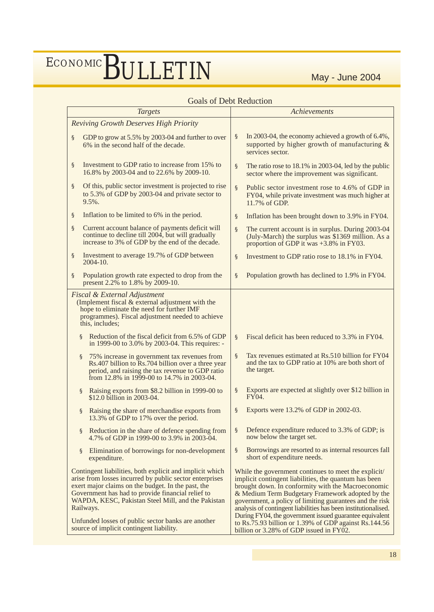### Goals of Debt Reduction

| <b>Targets</b>                                                                                                                                                                                                                                                                                    | Achievements                                                                                                                                                                                                                                                                                                                                                                                                     |  |  |  |
|---------------------------------------------------------------------------------------------------------------------------------------------------------------------------------------------------------------------------------------------------------------------------------------------------|------------------------------------------------------------------------------------------------------------------------------------------------------------------------------------------------------------------------------------------------------------------------------------------------------------------------------------------------------------------------------------------------------------------|--|--|--|
| <b>Reviving Growth Deserves High Priority</b>                                                                                                                                                                                                                                                     |                                                                                                                                                                                                                                                                                                                                                                                                                  |  |  |  |
| GDP to grow at 5.5% by 2003-04 and further to over<br>ş<br>6% in the second half of the decade.                                                                                                                                                                                                   | In 2003-04, the economy achieved a growth of 6.4%,<br>ş<br>supported by higher growth of manufacturing $\&$<br>services sector.                                                                                                                                                                                                                                                                                  |  |  |  |
| Investment to GDP ratio to increase from 15% to<br>ş<br>16.8% by 2003-04 and to 22.6% by 2009-10.                                                                                                                                                                                                 | The ratio rose to 18.1% in 2003-04, led by the public<br>S<br>sector where the improvement was significant.                                                                                                                                                                                                                                                                                                      |  |  |  |
| Of this, public sector investment is projected to rise<br>S<br>to 5.3% of GDP by 2003-04 and private sector to<br>9.5%.                                                                                                                                                                           | Public sector investment rose to 4.6% of GDP in<br>$\S$<br>FY04, while private investment was much higher at<br>11.7% of GDP.                                                                                                                                                                                                                                                                                    |  |  |  |
| Inflation to be limited to 6% in the period.<br>S                                                                                                                                                                                                                                                 | Inflation has been brought down to 3.9% in FY04.<br>ş                                                                                                                                                                                                                                                                                                                                                            |  |  |  |
| Current account balance of payments deficit will<br>S<br>continue to decline till 2004, but will gradually<br>increase to 3% of GDP by the end of the decade.                                                                                                                                     | ş<br>The current account is in surplus. During 2003-04<br>(July-March) the surplus was \$1369 million. As a<br>proportion of GDP it was $+3.8\%$ in FY03.                                                                                                                                                                                                                                                        |  |  |  |
| Investment to average 19.7% of GDP between<br>§<br>2004-10.                                                                                                                                                                                                                                       | Investment to GDP ratio rose to 18.1% in FY04.<br>S                                                                                                                                                                                                                                                                                                                                                              |  |  |  |
| Population growth rate expected to drop from the<br>ş<br>present 2.2% to 1.8% by 2009-10.                                                                                                                                                                                                         | Population growth has declined to 1.9% in FY04.<br>ş                                                                                                                                                                                                                                                                                                                                                             |  |  |  |
| <b>Fiscal &amp; External Adjustment</b><br>(Implement fiscal & external adjustment with the<br>hope to eliminate the need for further IMF<br>programmes). Fiscal adjustment needed to achieve<br>this, includes;                                                                                  |                                                                                                                                                                                                                                                                                                                                                                                                                  |  |  |  |
| Reduction of the fiscal deficit from 6.5% of GDP<br>S.<br>in 1999-00 to 3.0% by 2003-04. This requires: -                                                                                                                                                                                         | Fiscal deficit has been reduced to 3.3% in FY04.<br>$\S$                                                                                                                                                                                                                                                                                                                                                         |  |  |  |
| 75% increase in government tax revenues from<br>S<br>Rs.407 billion to Rs.704 billion over a three year<br>period, and raising the tax revenue to GDP ratio<br>from 12.8% in 1999-00 to 14.7% in 2003-04.                                                                                         | Tax revenues estimated at Rs.510 billion for FY04<br>$\S$<br>and the tax to GDP ratio at 10% are both short of<br>the target.                                                                                                                                                                                                                                                                                    |  |  |  |
| Raising exports from \$8.2 billion in 1999-00 to<br><sub>S</sub><br>\$12.0 billion in 2003-04.                                                                                                                                                                                                    | Exports are expected at slightly over \$12 billion in<br>ş<br>FY04.                                                                                                                                                                                                                                                                                                                                              |  |  |  |
| Raising the share of merchandise exports from<br>S.<br>13.3% of GDP to 17% over the period.                                                                                                                                                                                                       | Exports were 13.2% of GDP in 2002-03.<br>\$.                                                                                                                                                                                                                                                                                                                                                                     |  |  |  |
| Reduction in the share of defence spending from<br>$\S$<br>4.7% of GDP in 1999-00 to 3.9% in 2003-04.                                                                                                                                                                                             | Defence expenditure reduced to 3.3% of GDP; is<br>S<br>now below the target set.                                                                                                                                                                                                                                                                                                                                 |  |  |  |
| Elimination of borrowings for non-development<br>S<br>expenditure.                                                                                                                                                                                                                                | Borrowings are resorted to as internal resources fall<br>ş<br>short of expenditure needs.                                                                                                                                                                                                                                                                                                                        |  |  |  |
| Contingent liabilities, both explicit and implicit which<br>arise from losses incurred by public sector enterprises<br>exert major claims on the budget. In the past, the<br>Government has had to provide financial relief to<br>WAPDA, KESC, Pakistan Steel Mill, and the Pakistan<br>Railways. | While the government continues to meet the explicit/<br>implicit contingent liabilities, the quantum has been<br>brought down. In conformity with the Macroeconomic<br>& Medium Term Budgetary Framework adopted by the<br>government, a policy of limiting guarantees and the risk<br>analysis of contingent liabilities has been institutionalised.<br>During FY04, the government issued guarantee equivalent |  |  |  |
| Unfunded losses of public sector banks are another<br>source of implicit contingent liability.                                                                                                                                                                                                    | to Rs.75.93 billion or 1.39% of GDP against Rs.144.56<br>billion or 3.28% of GDP issued in FY02.                                                                                                                                                                                                                                                                                                                 |  |  |  |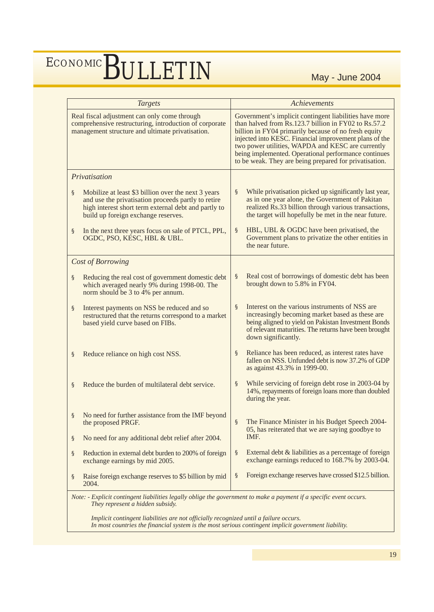| <b>Targets</b>                                                                                                                                             |                                                                                                                                                                                                           |                                                                                                                                                                                                                                                                                                                                                                                                         | <b>Achievements</b>                                                                                                                                                                                                                      |  |  |  |
|------------------------------------------------------------------------------------------------------------------------------------------------------------|-----------------------------------------------------------------------------------------------------------------------------------------------------------------------------------------------------------|---------------------------------------------------------------------------------------------------------------------------------------------------------------------------------------------------------------------------------------------------------------------------------------------------------------------------------------------------------------------------------------------------------|------------------------------------------------------------------------------------------------------------------------------------------------------------------------------------------------------------------------------------------|--|--|--|
| Real fiscal adjustment can only come through<br>comprehensive restructuring, introduction of corporate<br>management structure and ultimate privatisation. |                                                                                                                                                                                                           | Government's implicit contingent liabilities have more<br>than halved from Rs.123.7 billion in FY02 to Rs.57.2<br>billion in FY04 primarily because of no fresh equity<br>injected into KESC. Financial improvement plans of the<br>two power utilities, WAPDA and KESC are currently<br>being implemented. Operational performance continues<br>to be weak. They are being prepared for privatisation. |                                                                                                                                                                                                                                          |  |  |  |
|                                                                                                                                                            | Privatisation                                                                                                                                                                                             |                                                                                                                                                                                                                                                                                                                                                                                                         |                                                                                                                                                                                                                                          |  |  |  |
| §                                                                                                                                                          | Mobilize at least \$3 billion over the next 3 years<br>and use the privatisation proceeds partly to retire<br>high interest short term external debt and partly to<br>build up foreign exchange reserves. | ş                                                                                                                                                                                                                                                                                                                                                                                                       | While privatisation picked up significantly last year,<br>as in one year alone, the Government of Pakitan<br>realized Rs.33 billion through various transactions,<br>the target will hopefully be met in the near future.                |  |  |  |
| S                                                                                                                                                          | In the next three years focus on sale of PTCL, PPL,<br>OGDC, PSO, KESC, HBL & UBL.                                                                                                                        | ş                                                                                                                                                                                                                                                                                                                                                                                                       | HBL, UBL & OGDC have been privatised, the<br>Government plans to privatize the other entities in<br>the near future.                                                                                                                     |  |  |  |
|                                                                                                                                                            | Cost of Borrowing                                                                                                                                                                                         |                                                                                                                                                                                                                                                                                                                                                                                                         |                                                                                                                                                                                                                                          |  |  |  |
| §                                                                                                                                                          | Reducing the real cost of government domestic debt<br>which averaged nearly 9% during 1998-00. The<br>norm should be 3 to 4% per annum.                                                                   | S                                                                                                                                                                                                                                                                                                                                                                                                       | Real cost of borrowings of domestic debt has been<br>brought down to 5.8% in FY04.                                                                                                                                                       |  |  |  |
| §                                                                                                                                                          | Interest payments on NSS be reduced and so<br>restructured that the returns correspond to a market<br>based yield curve based on FIBs.                                                                    | $\S$                                                                                                                                                                                                                                                                                                                                                                                                    | Interest on the various instruments of NSS are<br>increasingly becoming market based as these are<br>being aligned to yield on Pakistan Investment Bonds<br>of relevant maturities. The returns have been brought<br>down significantly. |  |  |  |
| §                                                                                                                                                          | Reduce reliance on high cost NSS.                                                                                                                                                                         | S                                                                                                                                                                                                                                                                                                                                                                                                       | Reliance has been reduced, as interest rates have<br>fallen on NSS. Unfunded debt is now 37.2% of GDP<br>as against 43.3% in 1999-00.                                                                                                    |  |  |  |
| §                                                                                                                                                          | Reduce the burden of multilateral debt service.                                                                                                                                                           | ş                                                                                                                                                                                                                                                                                                                                                                                                       | While servicing of foreign debt rose in 2003-04 by<br>14%, repayments of foreign loans more than doubled<br>during the year.                                                                                                             |  |  |  |
| S                                                                                                                                                          | No need for further assistance from the IMF beyond<br>the proposed PRGF.                                                                                                                                  | S                                                                                                                                                                                                                                                                                                                                                                                                       | The Finance Minister in his Budget Speech 2004-<br>05, has reiterated that we are saying goodbye to                                                                                                                                      |  |  |  |
| S                                                                                                                                                          | No need for any additional debt relief after 2004.                                                                                                                                                        |                                                                                                                                                                                                                                                                                                                                                                                                         | IMF.                                                                                                                                                                                                                                     |  |  |  |
| S                                                                                                                                                          | Reduction in external debt burden to 200% of foreign<br>exchange earnings by mid 2005.                                                                                                                    | S                                                                                                                                                                                                                                                                                                                                                                                                       | External debt & liabilities as a percentage of foreign<br>exchange earnings reduced to 168.7% by 2003-04.                                                                                                                                |  |  |  |
| S                                                                                                                                                          | Raise foreign exchange reserves to \$5 billion by mid<br>2004.                                                                                                                                            | S                                                                                                                                                                                                                                                                                                                                                                                                       | Foreign exchange reserves have crossed \$12.5 billion.                                                                                                                                                                                   |  |  |  |
|                                                                                                                                                            | Note: - Explicit contingent liabilities legally oblige the government to make a payment if a specific event occurs.<br>They represent a hidden subsidy.                                                   |                                                                                                                                                                                                                                                                                                                                                                                                         |                                                                                                                                                                                                                                          |  |  |  |

 *Implicit contingent liabilities are not officially recognized until a failure occurs. In most countries the financial system is the most serious contingent implicit government liability.*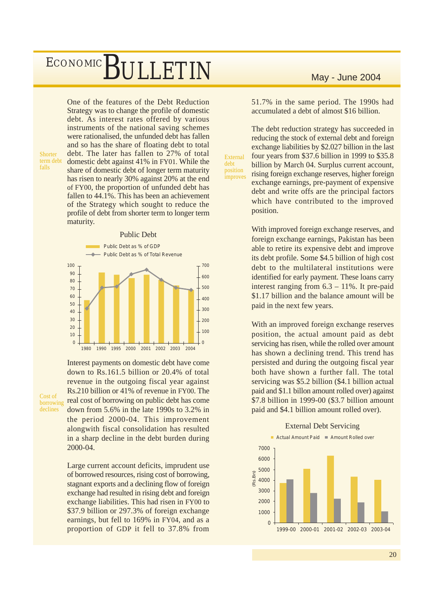Shorter term debt falls

Cost of borrowing declines

One of the features of the Debt Reduction Strategy was to change the profile of domestic debt. As interest rates offered by various instruments of the national saving schemes were rationalised, the unfunded debt has fallen and so has the share of floating debt to total debt. The later has fallen to 27% of total domestic debt against 41% in FY01. While the share of domestic debt of longer term maturity has risen to nearly 30% against 20% at the end of FY00, the proportion of unfunded debt has fallen to 44.1%. This has been an achievement of the Strategy which sought to reduce the profile of debt from shorter term to longer term maturity.

#### Public Debt



Interest payments on domestic debt have come down to Rs.161.5 billion or 20.4% of total revenue in the outgoing fiscal year against Rs.210 billion or 41% of revenue in FY00. The real cost of borrowing on public debt has come down from 5.6% in the late 1990s to 3.2% in the period 2000-04. This improvement alongwith fiscal consolidation has resulted in a sharp decline in the debt burden during 2000-04.

Large current account deficits, imprudent use of borrowed resources, rising cost of borrowing, stagnant exports and a declining flow of foreign exchange had resulted in rising debt and foreign exchange liabilities. This had risen in FY00 to \$37.9 billion or 297.3% of foreign exchange earnings, but fell to 169% in FY04, and as a proportion of GDP it fell to 37.8% from

51.7% in the same period. The 1990s had accumulated a debt of almost \$16 billion.

The debt reduction strategy has succeeded in reducing the stock of external debt and foreign exchange liabilities by \$2.027 billion in the last four years from \$37.6 billion in 1999 to \$35.8 billion by March 04. Surplus current account, rising foreign exchange reserves, higher foreign exchange earnings, pre-payment of expensive debt and write offs are the principal factors which have contributed to the improved position.

External debt position improves

> With improved foreign exchange reserves, and foreign exchange earnings, Pakistan has been able to retire its expensive debt and improve its debt profile. Some \$4.5 billion of high cost debt to the multilateral institutions were identified for early payment. These loans carry interest ranging from 6.3 – 11%. It pre-paid \$1.17 billion and the balance amount will be paid in the next few years.

> With an improved foreign exchange reserves position, the actual amount paid as debt servicing has risen, while the rolled over amount has shown a declining trend. This trend has persisted and during the outgoing fiscal year both have shown a further fall. The total servicing was \$5.2 billion (\$4.1 billion actual paid and \$1.1 billon amount rolled over) against \$7.8 billion in 1999-00 (\$3.7 billion amount paid and \$4.1 billion amount rolled over).

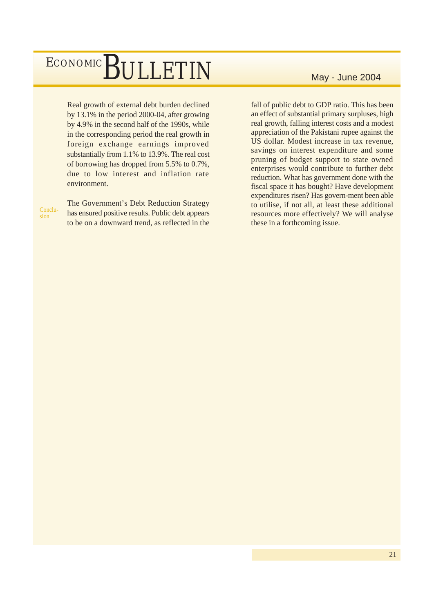Real growth of external debt burden declined by 13.1% in the period 2000-04, after growing by 4.9% in the second half of the 1990s, while in the corresponding period the real growth in foreign exchange earnings improved substantially from 1.1% to 13.9%. The real cost of borrowing has dropped from 5.5% to 0.7%, due to low interest and inflation rate environment.

Conclusion

The Government's Debt Reduction Strategy has ensured positive results. Public debt appears to be on a downward trend, as reflected in the

fall of public debt to GDP ratio. This has been an effect of substantial primary surpluses, high real growth, falling interest costs and a modest appreciation of the Pakistani rupee against the US dollar. Modest increase in tax revenue, savings on interest expenditure and some pruning of budget support to state owned enterprises would contribute to further debt reduction. What has government done with the fiscal space it has bought? Have development expenditures risen? Has govern-ment been able to utilise, if not all, at least these additional resources more effectively? We will analyse these in a forthcoming issue.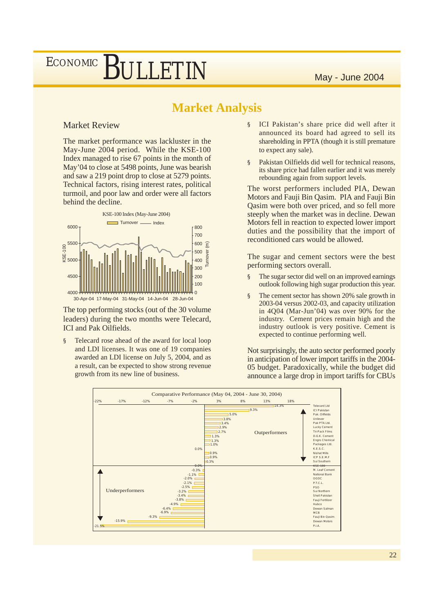### **Market Analysis**

### Market Review

The market performance was lackluster in the May-June 2004 period. While the KSE-100 Index managed to rise 67 points in the month of May'04 to close at 5498 points, June was bearish and saw a 219 point drop to close at 5279 points. Technical factors, rising interest rates, political turmoil, and poor law and order were all factors behind the decline.



The top performing stocks (out of the 30 volume leaders) during the two months were Telecard, ICI and Pak Oilfields.

§ Telecard rose ahead of the award for local loop and LDI licenses. It was one of 19 companies awarded an LDI license on July 5, 2004, and as a result, can be expected to show strong revenue growth from its new line of business.

- § ICI Pakistan's share price did well after it announced its board had agreed to sell its shareholding in PPTA (though it is still premature to expect any sale).
- § Pakistan Oilfields did well for technical reasons, its share price had fallen earlier and it was merely rebounding again from support levels.

The worst performers included PIA, Dewan Motors and Fauji Bin Qasim. PIA and Fauji Bin Qasim were both over priced, and so fell more steeply when the market was in decline. Dewan Motors fell in reaction to expected lower import duties and the possibility that the import of reconditioned cars would be allowed.

The sugar and cement sectors were the best performing sectors overall.

- § The sugar sector did well on an improved earnings outlook following high sugar production this year.
- § The cement sector has shown 20% sale growth in 2003-04 versus 2002-03, and capacity utilization in 4Q04 (Mar-Jun'04) was over 90% for the industry. Cement prices remain high and the industry outlook is very positive. Cement is expected to continue performing well.

Not surprisingly, the auto sector performed poorly in anticipation of lower import tariffs in the 2004- 05 budget. Paradoxically, while the budget did announce a large drop in import tariffs for CBUs

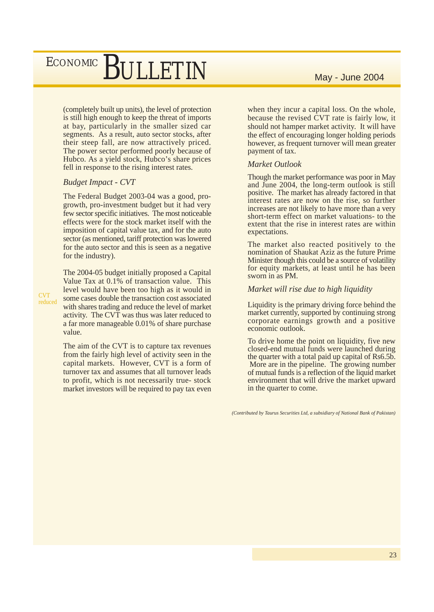(completely built up units), the level of protection is still high enough to keep the threat of imports at bay, particularly in the smaller sized car segments. As a result, auto sector stocks, after their steep fall, are now attractively priced. The power sector performed poorly because of Hubco. As a yield stock, Hubco's share prices fell in response to the rising interest rates.

#### *Budget Impact - CVT*

The Federal Budget 2003-04 was a good, progrowth, pro-investment budget but it had very few sector specific initiatives. The most noticeable effects were for the stock market itself with the imposition of capital value tax, and for the auto sector (as mentioned, tariff protection was lowered for the auto sector and this is seen as a negative for the industry).

The 2004-05 budget initially proposed a Capital Value Tax at 0.1% of transaction value. This level would have been too high as it would in some cases double the transaction cost associated with shares trading and reduce the level of market activity. The CVT was thus was later reduced to a far more manageable 0.01% of share purchase value.

The aim of the CVT is to capture tax revenues from the fairly high level of activity seen in the capital markets. However, CVT is a form of turnover tax and assumes that all turnover leads to profit, which is not necessarily true- stock market investors will be required to pay tax even

when they incur a capital loss. On the whole, because the revised CVT rate is fairly low, it should not hamper market activity. It will have the effect of encouraging longer holding periods however, as frequent turnover will mean greater payment of tax.

#### *Market Outlook*

Though the market performance was poor in May and June 2004, the long-term outlook is still positive. The market has already factored in that interest rates are now on the rise, so further increases are not likely to have more than a very short-term effect on market valuations- to the extent that the rise in interest rates are within expectations.

The market also reacted positively to the nomination of Shaukat Aziz as the future Prime Minister though this could be a source of volatility for equity markets, at least until he has been sworn in as PM.

#### *Market will rise due to high liquidity*

Liquidity is the primary driving force behind the market currently, supported by continuing strong corporate earnings growth and a positive economic outlook.

To drive home the point on liquidity, five new closed-end mutual funds were launched during the quarter with a total paid up capital of Rs6.5b. More are in the pipeline. The growing number of mutual funds is a reflection of the liquid market environment that will drive the market upward in the quarter to come.

*<sup>(</sup>Contributed by Taurus Securities Ltd, a subsidiary of National Bank of Pakistan)*